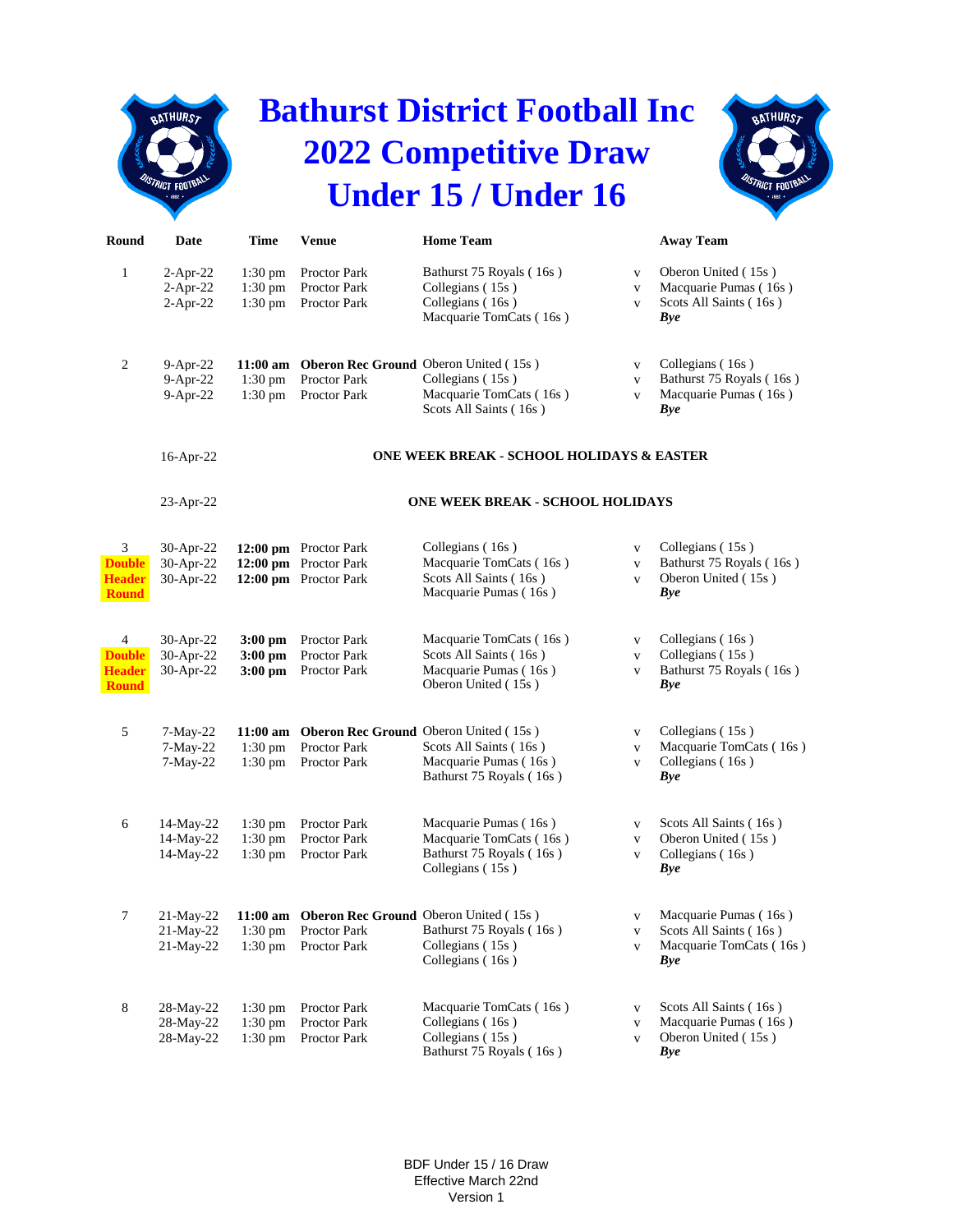

## **Bathurst District Football Inc 2022 Competitive Draw Under 15 / Under 16**



| Round                                               | Date                                   | <b>Time</b>                               | <b>Venue</b>                                                                   | <b>Home Team</b>                                                                                  |                                             | <b>Away Team</b>                                                                     |  |  |
|-----------------------------------------------------|----------------------------------------|-------------------------------------------|--------------------------------------------------------------------------------|---------------------------------------------------------------------------------------------------|---------------------------------------------|--------------------------------------------------------------------------------------|--|--|
| $\mathbf{1}$                                        | $2-Apr-22$<br>$2-Apr-22$<br>$2-Apr-22$ | $1:30 \text{ pm}$<br>1:30 pm<br>$1:30$ pm | Proctor Park<br>Proctor Park<br>Proctor Park                                   | Bathurst 75 Royals (16s)<br>Collegians (15s)<br>Collegians (16s)<br>Macquarie TomCats (16s)       | $\mathbf V$<br>$\mathbf V$<br>$\mathbf{V}$  | Oberon United (15s)<br>Macquarie Pumas (16s)<br>Scots All Saints (16s)<br>Bye        |  |  |
| $\overline{c}$                                      | 9-Apr-22<br>$9-Apr-22$<br>$9-Apr-22$   | $11:00$ am<br>$1:30$ pm<br>$1:30$ pm      | <b>Oberon Rec Ground Oberon United (15s)</b><br>Proctor Park<br>Proctor Park   | Collegians (15s)<br>Macquarie TomCats (16s)<br>Scots All Saints (16s)                             | $\mathbf{V}$<br>$\mathbf{V}$<br>$\mathbf V$ | Collegians (16s)<br>Bathurst 75 Royals (16s)<br>Macquarie Pumas (16s)<br>Bye         |  |  |
|                                                     | 16-Apr-22                              |                                           |                                                                                | ONE WEEK BREAK - SCHOOL HOLIDAYS & EASTER                                                         |                                             |                                                                                      |  |  |
|                                                     | 23-Apr-22                              |                                           | <b>ONE WEEK BREAK - SCHOOL HOLIDAYS</b>                                        |                                                                                                   |                                             |                                                                                      |  |  |
| 3<br><b>Double</b><br><b>Header</b><br><b>Round</b> | 30-Apr-22<br>30-Apr-22<br>30-Apr-22    |                                           | 12:00 pm Proctor Park<br>12:00 pm Proctor Park<br>12:00 pm Proctor Park        | Collegians (16s)<br>Macquarie TomCats (16s)<br>Scots All Saints (16s)<br>Macquarie Pumas (16s)    | $\mathbf{V}$<br>$\mathbf{V}$<br>$\mathbf V$ | Collegians (15s)<br>Bathurst 75 Royals (16s)<br>Oberon United (15s)<br>Bye           |  |  |
| 4<br><b>Double</b><br><b>Header</b><br><b>Round</b> | 30-Apr-22<br>30-Apr-22<br>30-Apr-22    | $3:00$ pm<br>$3:00$ pm<br>$3:00$ pm       | Proctor Park<br>Proctor Park<br>Proctor Park                                   | Macquarie TomCats (16s)<br>Scots All Saints (16s)<br>Macquarie Pumas (16s)<br>Oberon United (15s) | $\mathbf V$<br>$\mathbf{V}$<br>$\mathbf V$  | Collegians (16s)<br>Collegians (15s)<br>Bathurst 75 Royals (16s)<br><b>Bye</b>       |  |  |
| 5                                                   | 7-May-22<br>$7-May-22$<br>$7-May-22$   | $11:00$ am<br>$1:30$ pm<br>$1:30$ pm      | <b>Oberon Rec Ground Oberon United (15s)</b><br>Proctor Park<br>Proctor Park   | Scots All Saints (16s)<br>Macquarie Pumas (16s)<br>Bathurst 75 Royals (16s)                       | $\mathbf{V}$<br>$\mathbf V$<br>$\mathbf{V}$ | Collegians (15s)<br>Macquarie TomCats (16s)<br>Collegians (16s)<br><b>Bye</b>        |  |  |
| 6                                                   | 14-May-22<br>14-May-22<br>14-May-22    | $1:30$ pm<br>$1:30$ pm<br>$1:30$ pm       | Proctor Park<br>Proctor Park<br>Proctor Park                                   | Macquarie Pumas (16s)<br>Macquarie TomCats (16s)<br>Bathurst 75 Royals (16s)<br>Collegians (15s)  | $\mathbf V$<br>$\mathbf V$<br>$\mathbf V$   | Scots All Saints (16s)<br>Oberon United (15s)<br>Collegians (16s)<br><b>Bye</b>      |  |  |
| $\overline{7}$                                      | 21-May-22<br>21-May-22<br>21-May-22    | 1:30 pm<br>$1:30$ pm                      | 11:00 am Oberon Rec Ground Oberon United (15s)<br>Proctor Park<br>Proctor Park | Bathurst 75 Royals (16s)<br>Collegians (15s)<br>Collegians (16s)                                  | $\mathbf{V}$<br>V<br>$\mathbf{V}$           | Macquarie Pumas (16s)<br>Scots All Saints (16s)<br>Macquarie TomCats (16s)<br>Bye    |  |  |
| $\,8\,$                                             | 28-May-22<br>28-May-22<br>28-May-22    | $1:30$ pm<br>$1:30$ pm<br>$1:30$ pm       | Proctor Park<br>Proctor Park<br>Proctor Park                                   | Macquarie TomCats (16s)<br>Collegians (16s)<br>Collegians (15s)<br>Bathurst 75 Royals (16s)       | $\mathbf V$<br>$\mathbf{V}$<br>$\mathbf V$  | Scots All Saints (16s)<br>Macquarie Pumas (16s)<br>Oberon United (15s)<br><b>Bye</b> |  |  |

BDF Under 15 / 16 Draw Effective March 22nd Version 1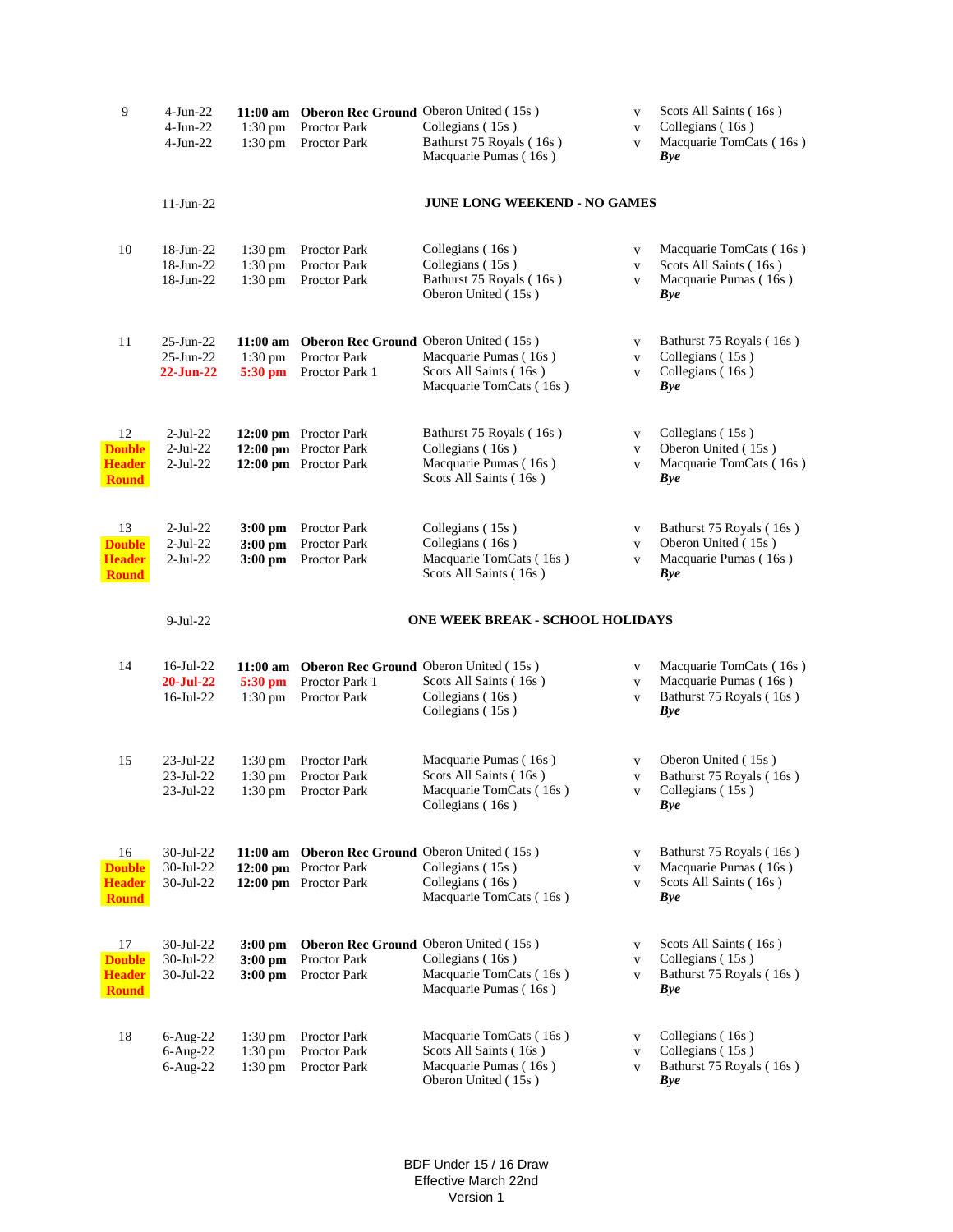| 9                                                    | $4-Jun-22$<br>$4-Jun-22$<br>$4-Jun-22$                 | $1:30$ pm<br>$1:30$ pm                      | 11:00 am Oberon Rec Ground Oberon United (15s)<br>Proctor Park<br>Proctor Park          | Collegians (15s)<br>Bathurst 75 Royals (16s)<br>Macquarie Pumas (16s)                           | $\mathbf V$<br>$\mathbf V$<br>$\mathbf V$    | Scots All Saints (16s)<br>Collegians (16s)<br>Macquarie TomCats (16s)<br>Bye       |  |
|------------------------------------------------------|--------------------------------------------------------|---------------------------------------------|-----------------------------------------------------------------------------------------|-------------------------------------------------------------------------------------------------|----------------------------------------------|------------------------------------------------------------------------------------|--|
|                                                      | $11-Jun-22$                                            |                                             |                                                                                         | <b>JUNE LONG WEEKEND - NO GAMES</b>                                                             |                                              |                                                                                    |  |
| 10                                                   | 18-Jun-22<br>18-Jun-22<br>18-Jun-22                    | $1:30 \text{ pm}$<br>1:30 pm<br>$1:30$ pm   | Proctor Park<br>Proctor Park<br>Proctor Park                                            | Collegians (16s)<br>Collegians (15s)<br>Bathurst 75 Royals (16s)<br>Oberon United (15s)         | $\mathbf{V}$<br>$\mathbf V$<br>$\mathbf{V}$  | Macquarie TomCats (16s)<br>Scots All Saints (16s)<br>Macquarie Pumas (16s)<br>Bye  |  |
| 11                                                   | $25$ -Jun- $22$<br>$25$ -Jun- $22$<br><b>22-Jun-22</b> | $11:00$ am<br>$1:30$ pm<br>$5:30$ pm        | <b>Oberon Rec Ground Oberon United (15s)</b><br>Proctor Park<br>Proctor Park 1          | Macquarie Pumas (16s)<br>Scots All Saints (16s)<br>Macquarie TomCats (16s)                      | $\mathbf{V}$<br>$\mathbf V$<br>$\mathbf{V}$  | Bathurst 75 Royals (16s)<br>Collegians (15s)<br>Collegians (16s)<br>Bye            |  |
| 12<br><b>Double</b><br><b>Header</b><br><b>Round</b> | $2-Jul-22$<br>$2$ -Jul-22<br>$2-Jul-22$                |                                             | 12:00 pm Proctor Park<br>12:00 pm Proctor Park<br>12:00 pm Proctor Park                 | Bathurst 75 Royals (16s)<br>Collegians (16s)<br>Macquarie Pumas (16s)<br>Scots All Saints (16s) | $\mathbf{V}$<br>$\mathbf V$<br>$\mathbf{V}$  | Collegians (15s)<br>Oberon United (15s)<br>Macquarie TomCats (16s)<br>Bye          |  |
| 13<br><b>Double</b><br><b>Header</b><br><b>Round</b> | $2$ -Jul-22<br>$2-Jul-22$<br>$2-Jul-22$                | $3:00 \text{ pm}$<br>$3:00$ pm<br>$3:00$ pm | Proctor Park<br>Proctor Park<br>Proctor Park                                            | Collegians (15s)<br>Collegians (16s)<br>Macquarie TomCats (16s)<br>Scots All Saints (16s)       | $\mathbf{V}$<br>$\mathbf V$<br>$\mathbf{V}$  | Bathurst 75 Royals (16s)<br>Oberon United (15s)<br>Macquarie Pumas (16s)<br>Bye    |  |
|                                                      | $9-Jul-22$                                             | <b>ONE WEEK BREAK - SCHOOL HOLIDAYS</b>     |                                                                                         |                                                                                                 |                                              |                                                                                    |  |
| 14                                                   | $16$ -Jul-22                                           | $11:00$ am                                  | <b>Oberon Rec Ground Oberon United (15s)</b>                                            |                                                                                                 | $\mathbf V$                                  | Macquarie TomCats (16s)<br>Macquarie Pumas (16s)                                   |  |
|                                                      | $20 - Jul - 22$<br>$16$ -Jul-22                        | 5:30 pm<br>$1:30$ pm                        | Proctor Park 1<br>Proctor Park                                                          | Scots All Saints (16s)<br>Collegians (16s)<br>Collegians (15s)                                  | $\mathbf V$<br>$\mathbf{V}$                  | Bathurst 75 Royals (16s)<br><b>Bye</b>                                             |  |
| 15                                                   | $23$ -Jul- $22$<br>23-Jul-22<br>23-Jul-22              | $1:30 \text{ pm}$<br>$1:30$ pm<br>$1:30$ pm | Proctor Park<br>Proctor Park<br>Proctor Park                                            | Macquarie Pumas (16s)<br>Scots All Saints (16s)<br>Macquarie TomCats (16s)<br>Collegians (16s)  | $\mathbf V$<br>$\mathbf{V}$<br>$\mathbf V$   | Oberon United (15s)<br>Bathurst 75 Royals (16s)<br>Collegians (15s)<br>Bye         |  |
| 16<br><b>Double</b><br><b>Header</b><br><b>Round</b> | 30-Jul-22<br>30-Jul-22<br>$30$ -Jul-22                 | $12:00$ pm                                  | 11:00 am Oberon Rec Ground Oberon United (15s)<br>Proctor Park<br>12:00 pm Proctor Park | Collegians (15s)<br>Collegians (16s)<br>Macquarie TomCats (16s)                                 | $\mathbf V$<br>$\mathbf{V}$<br>$\mathbf V$   | Bathurst 75 Royals (16s)<br>Macquarie Pumas (16s)<br>Scots All Saints (16s)<br>Bye |  |
| 17<br><b>Double</b><br><b>Header</b><br><b>Round</b> | $30$ -Jul-22<br>30-Jul-22<br>30-Jul-22                 | $3:00$ pm<br>$3:00$ pm<br>$3:00$ pm         | Oberon Rec Ground Oberon United (15s)<br><b>Proctor Park</b><br>Proctor Park            | Collegians (16s)<br>Macquarie TomCats (16s)<br>Macquarie Pumas (16s)                            | $\mathbf{V}$<br>$\mathbf{V}$<br>$\mathbf{V}$ | Scots All Saints (16s)<br>Collegians (15s)<br>Bathurst 75 Royals (16s)<br>Bye      |  |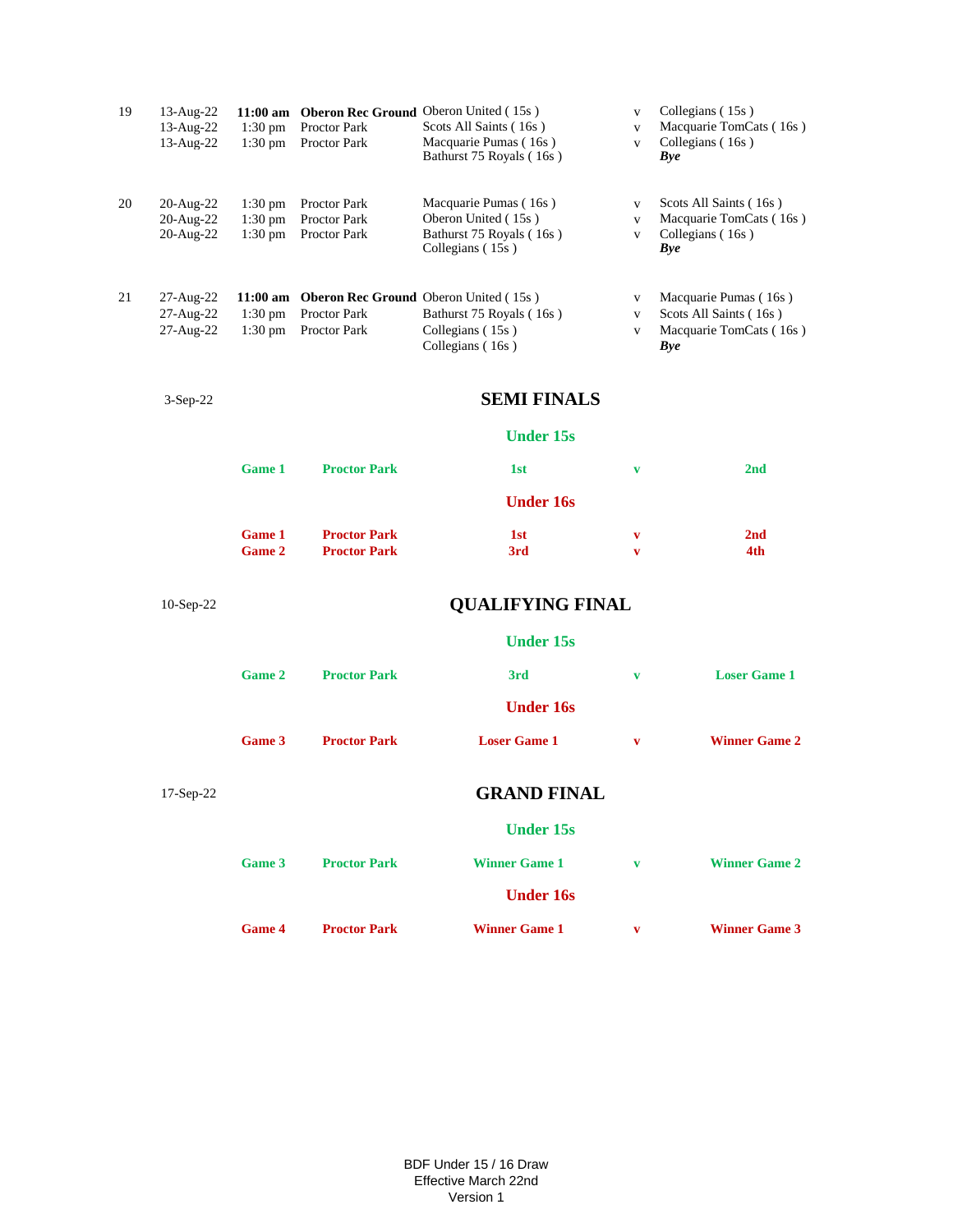| 19 | 13-Aug-22<br>13-Aug-22<br>13-Aug-22 | $1:30$ pm<br>$1:30$ pm                    | Proctor Park<br>Proctor Park                 | 11:00 am Oberon Rec Ground Oberon United (15s)<br>Scots All Saints (16s)<br>Macquarie Pumas (16s)<br>Bathurst 75 Royals (16s) | V<br>V<br>V                                  | Collegians (15s)<br>Macquarie TomCats (16s)<br>Collegians (16s)<br>Bye                   |  |
|----|-------------------------------------|-------------------------------------------|----------------------------------------------|-------------------------------------------------------------------------------------------------------------------------------|----------------------------------------------|------------------------------------------------------------------------------------------|--|
| 20 | 20-Aug-22<br>20-Aug-22<br>20-Aug-22 | $1:30 \text{ pm}$<br>1:30 pm<br>$1:30$ pm | Proctor Park<br>Proctor Park<br>Proctor Park | Macquarie Pumas (16s)<br>Oberon United (15s)<br>Bathurst 75 Royals (16s)<br>Collegians (15s)                                  | $\mathbf{V}$<br>$\mathbf{V}$<br>$\mathbf{V}$ | Scots All Saints (16s)<br>Macquarie TomCats (16s)<br>Collegians (16s)<br><b>Bye</b>      |  |
| 21 | 27-Aug-22<br>27-Aug-22<br>27-Aug-22 | $1:30$ pm<br>$1:30$ pm                    | <b>Proctor Park</b><br>Proctor Park          | 11:00 am Oberon Rec Ground Oberon United (15s)<br>Bathurst 75 Royals (16s)<br>Collegians (15s)<br>Collegians (16s)            | V<br>V<br>V                                  | Macquarie Pumas (16s)<br>Scots All Saints (16s)<br>Macquarie TomCats (16s)<br><b>Bye</b> |  |
|    | $3-Sep-22$                          | <b>SEMI FINALS</b>                        |                                              |                                                                                                                               |                                              |                                                                                          |  |
|    |                                     |                                           |                                              | <b>Under 15s</b>                                                                                                              |                                              |                                                                                          |  |
|    |                                     | <b>Game 1</b>                             | <b>Proctor Park</b>                          | 1st                                                                                                                           | v                                            | 2 <sub>nd</sub>                                                                          |  |
|    |                                     |                                           |                                              | <b>Under 16s</b>                                                                                                              |                                              |                                                                                          |  |
|    |                                     | <b>Game 1</b><br><b>Game 2</b>            | <b>Proctor Park</b><br><b>Proctor Park</b>   | 1st<br>3rd                                                                                                                    | V<br>V                                       | 2nd<br>4th                                                                               |  |
|    | $10-Sep-22$                         | <b>QUALIFYING FINAL</b>                   |                                              |                                                                                                                               |                                              |                                                                                          |  |
|    |                                     | <b>Under 15s</b>                          |                                              |                                                                                                                               |                                              |                                                                                          |  |
|    |                                     | <b>Game 2</b>                             | <b>Proctor Park</b>                          | 3rd                                                                                                                           | v                                            | <b>Loser Game 1</b>                                                                      |  |
|    |                                     |                                           |                                              | <b>Under 16s</b>                                                                                                              |                                              |                                                                                          |  |
|    |                                     | Game 3                                    | <b>Proctor Park</b>                          | <b>Loser Game 1</b>                                                                                                           | V                                            | <b>Winner Game 2</b>                                                                     |  |
|    | 17-Sep-22                           |                                           |                                              | <b>GRAND FINAL</b>                                                                                                            |                                              |                                                                                          |  |
|    |                                     |                                           |                                              | <b>Under 15s</b>                                                                                                              |                                              |                                                                                          |  |
|    |                                     | Game 3                                    | <b>Proctor Park</b>                          | <b>Winner Game 1</b>                                                                                                          | $\mathbf{v}$                                 | <b>Winner Game 2</b>                                                                     |  |
|    |                                     |                                           |                                              | <b>Under 16s</b>                                                                                                              |                                              |                                                                                          |  |
|    |                                     | <b>Game 4</b>                             | <b>Proctor Park</b>                          | <b>Winner Game 1</b>                                                                                                          | v                                            | <b>Winner Game 3</b>                                                                     |  |